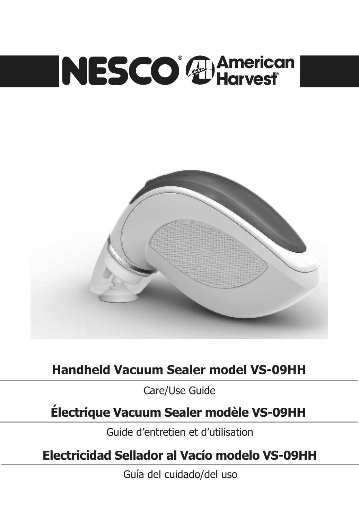# NESCO<sup>®</sup> Harvest



# **Handheld Vacuum Sealer model VS-09HH**

Care/Use Guide

# **Électrique Vacuum Sealer modèle VS-09HH**

Guide d'entretien et d'utilisation

**Electricidad Sellador al Vacío modelo VS-09HH**

Guía del cuidado/del uso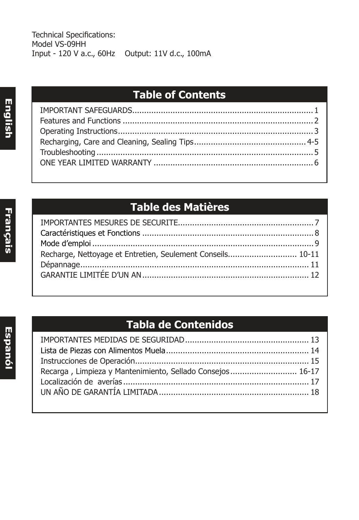# **Table of Contents**

# **Table des Matières**

| Recharge, Nettoyage et Entretien, Seulement Conseils 10-11 |  |
|------------------------------------------------------------|--|
|                                                            |  |
|                                                            |  |
|                                                            |  |

# **Tabla de Contenidos**

| Recarga, Limpieza y Mantenimiento, Sellado Consejos 16-17 |  |
|-----------------------------------------------------------|--|
|                                                           |  |
|                                                           |  |
|                                                           |  |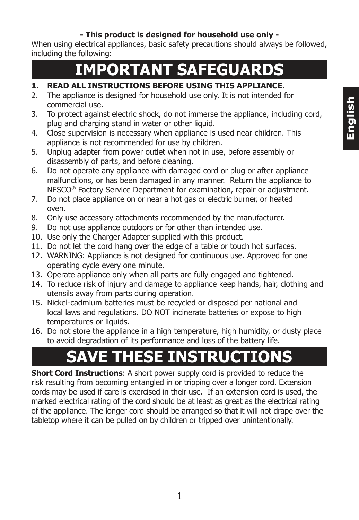#### **- This product is designed for household use only -**

When using electrical appliances, basic safety precautions should always be followed, including the following:

# **IMPORTANT SAFEGUARDS**

#### **1. READ ALL INSTRUCTIONS BEFORE USING THIS APPLIANCE.**

- 2. The appliance is designed for household use only. It is not intended for commercial use.
- 3. To protect against electric shock, do not immerse the appliance, including cord, plug and charging stand in water or other liquid.
- 4. Close supervision is necessary when appliance is used near children. This appliance is not recommended for use by children.
- 5. Unplug adapter from power outlet when not in use, before assembly or disassembly of parts, and before cleaning.
- 6. Do not operate any appliance with damaged cord or plug or after appliance malfunctions, or has been damaged in any manner. Return the appliance to NESCO® Factory Service Department for examination, repair or adjustment.
- 7. Do not place appliance on or near a hot gas or electric burner, or heated oven.
- 8. Only use accessory attachments recommended by the manufacturer.
- 9. Do not use appliance outdoors or for other than intended use.
- 10. Use only the Charger Adapter supplied with this product.
- 11. Do not let the cord hang over the edge of a table or touch hot surfaces.
- 12. WARNING: Appliance is not designed for continuous use. Approved for one operating cycle every one minute.
- 13. Operate appliance only when all parts are fully engaged and tightened.
- 14. To reduce risk of injury and damage to appliance keep hands, hair, clothing and utensils away from parts during operation.
- 15. Nickel-cadmium batteries must be recycled or disposed per national and local laws and regulations. DO NOT incinerate batteries or expose to high temperatures or liquids.
- 16. Do not store the appliance in a high temperature, high humidity, or dusty place to avoid degradation of its performance and loss of the battery life.

# **SAVE THESE INSTRUCTIONS**

**Short Cord Instructions**: A short power supply cord is provided to reduce the risk resulting from becoming entangled in or tripping over a longer cord. Extension cords may be used if care is exercised in their use. If an extension cord is used, the marked electrical rating of the cord should be at least as great as the electrical rating of the appliance. The longer cord should be arranged so that it will not drape over the tabletop where it can be pulled on by children or tripped over unintentionally.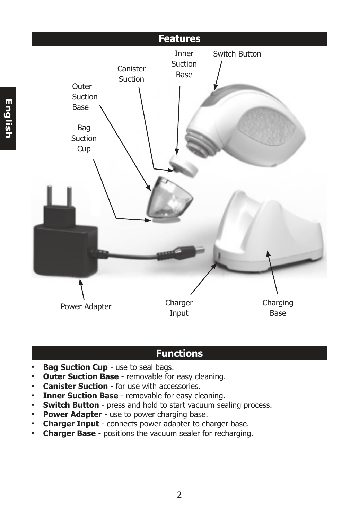

# **Functions**

- **Bag Suction Cup** use to seal bags.
- **Outer Suction Base** removable for easy cleaning.
- **Canister Suction** for use with accessories.
- **Inner Suction Base** removable for easy cleaning.
- **Switch Button** press and hold to start vacuum sealing process.
- **Power Adapter** use to power charging base.
- **Charger Input** connects power adapter to charger base.
- **Charger Base** positions the vacuum sealer for recharging.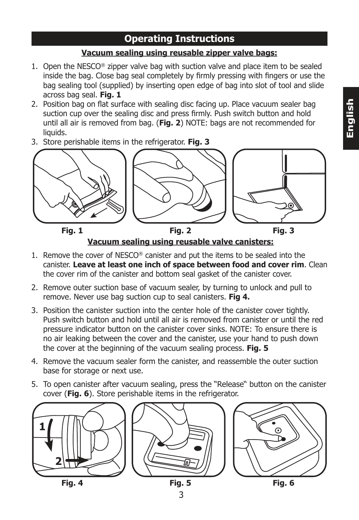### **Operating Instructions**

#### **Vacuum sealing using reusable zipper valve bags:**

- 1. Open the  $NESCO<sup>®</sup>$  zipper valve bag with suction valve and place item to be sealed inside the bag. Close bag seal completely by firmly pressing with fingers or use the bag sealing tool (supplied) by inserting open edge of bag into slot of tool and slide across bag seal. **Fig. 1**
- 2. Position bag on flat surface with sealing disc facing up. Place vacuum sealer bag suction cup over the sealing disc and press firmly. Push switch button and hold until all air is removed from bag. (**Fig. 2**) NOTE: bags are not recommended for liquids.
- 3. Store perishable items in the refrigerator. **Fig. 3**



**Vacuum sealing using reusable valve canisters:**

- 1. Remove the cover of NESCO® canister and put the items to be sealed into the canister. **Leave at least one inch of space between food and cover rim**. Clean the cover rim of the canister and bottom seal gasket of the canister cover.
- 2. Remove outer suction base of vacuum sealer, by turning to unlock and pull to remove. Never use bag suction cup to seal canisters. **Fig 4.**
- 3. Position the canister suction into the center hole of the canister cover tightly. Push switch button and hold until all air is removed from canister or until the red pressure indicator button on the canister cover sinks. NOTE: To ensure there is no air leaking between the cover and the canister, use your hand to push down the cover at the beginning of the vacuum sealing process. **Fig. 5**
- 4. Remove the vacuum sealer form the canister, and reassemble the outer suction base for storage or next use.
- 5. To open canister after vacuum sealing, press the "Release" button on the canister cover (**Fig. 6**). Store perishable items in the refrigerator.

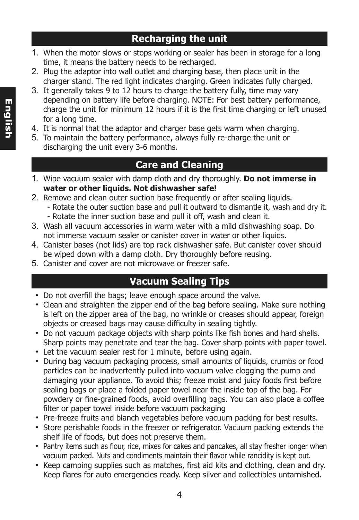### **Recharging the unit**

- 1. When the motor slows or stops working or sealer has been in storage for a long time, it means the battery needs to be recharged.
- 2. Plug the adaptor into wall outlet and charging base, then place unit in the charger stand. The red light indicates charging. Green indicates fully charged.
- 3. It generally takes 9 to 12 hours to charge the battery fully, time may vary depending on battery life before charging. NOTE: For best battery performance, charge the unit for minimum 12 hours if it is the first time charging or left unused for a long time.
- 4. It is normal that the adaptor and charger base gets warm when charging.
- 5. To maintain the battery performance, always fully re-charge the unit or discharging the unit every 3-6 months.

## **Care and Cleaning**

- 1. Wipe vacuum sealer with damp cloth and dry thoroughly. **Do not immerse in water or other liquids. Not dishwasher safe!**
- 2. Remove and clean outer suction base frequently or after sealing liquids.
	- Rotate the outer suction base and pull it outward to dismantle it, wash and dry it. - Rotate the inner suction base and pull it off, wash and clean it.
- 3. Wash all vacuum accessories in warm water with a mild dishwashing soap. Do not immerse vacuum sealer or canister cover in water or other liquids.
- 4. Canister bases (not lids) are top rack dishwasher safe. But canister cover should be wiped down with a damp cloth. Dry thoroughly before reusing.
- 5. Canister and cover are not microwave or freezer safe.

# **Vacuum Sealing Tips**

- Do not overfill the bags; leave enough space around the valve.
- Clean and straighten the zipper end of the bag before sealing. Make sure nothing is left on the zipper area of the bag, no wrinkle or creases should appear, foreign objects or creased bags may cause difficulty in sealing tightly.
- Do not vacuum package objects with sharp points like fish bones and hard shells. Sharp points may penetrate and tear the bag. Cover sharp points with paper towel.
- Let the vacuum sealer rest for 1 minute, before using again.
- During bag vacuum packaging process, small amounts of liquids, crumbs or food particles can be inadvertently pulled into vacuum valve clogging the pump and damaging your appliance. To avoid this; freeze moist and juicy foods first before sealing bags or place a folded paper towel near the inside top of the bag. For powdery or fine-grained foods, avoid overfilling bags. You can also place a coffee filter or paper towel inside before vacuum packaging
- Pre-freeze fruits and blanch vegetables before vacuum packing for best results.
- Store perishable foods in the freezer or refrigerator. Vacuum packing extends the shelf life of foods, but does not preserve them.
- Pantry items such as flour, rice, mixes for cakes and pancakes, all stay fresher longer when vacuum packed. Nuts and condiments maintain their flavor while rancidity is kept out.
- Keep camping supplies such as matches, first aid kits and clothing, clean and dry. Keep flares for auto emergencies ready. Keep silver and collectibles untarnished.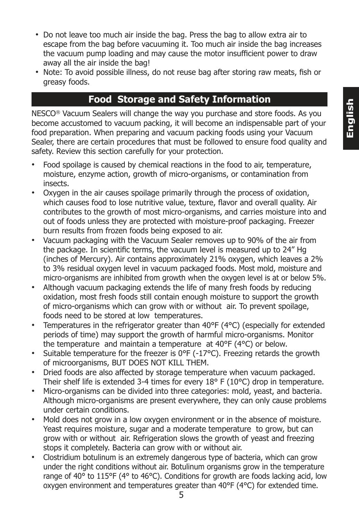- Do not leave too much air inside the bag. Press the bag to allow extra air to escape from the bag before vacuuming it. Too much air inside the bag increases the vacuum pump loading and may cause the motor insufficient power to draw away all the air inside the bag!
- Note: To avoid possible illness, do not reuse bag after storing raw meats, fish or greasy foods.

#### **Food Storage and Safety Information**

NESCO® Vacuum Sealers will change the way you purchase and store foods. As you become accustomed to vacuum packing, it will become an indispensable part of your food preparation. When preparing and vacuum packing foods using your Vacuum Sealer, there are certain procedures that must be followed to ensure food quality and safety. Review this section carefully for your protection.

- Food spoilage is caused by chemical reactions in the food to air, temperature, moisture, enzyme action, growth of micro-organisms, or contamination from insects.
- Oxygen in the air causes spoilage primarily through the process of oxidation, which causes food to lose nutritive value, texture, flavor and overall quality. Air contributes to the growth of most micro-organisms, and carries moisture into and out of foods unless they are protected with moisture-proof packaging. Freezer burn results from frozen foods being exposed to air.
- Vacuum packaging with the Vacuum Sealer removes up to 90% of the air from the package. In scientific terms, the vacuum level is measured up to 24" Hg (inches of Mercury). Air contains approximately 21% oxygen, which leaves a 2% to 3% residual oxygen level in vacuum packaged foods. Most mold, moisture and micro-organisms are inhibited from growth when the oxygen level is at or below 5%.
- Although vacuum packaging extends the life of many fresh foods by reducing oxidation, most fresh foods still contain enough moisture to support the growth of micro-organisms which can grow with or without air. To prevent spoilage, foods need to be stored at low temperatures.
- Temperatures in the refrigerator greater than  $40^{\circ}F(4^{\circ}C)$  (especially for extended periods of time) may support the growth of harmful micro-organisms. Monitor the temperature and maintain a temperature at 40°F (4°C) or below.
- Suitable temperature for the freezer is  $0^{\circ}F$  (-17 $^{\circ}C$ ). Freezing retards the growth of microorganisms, BUT DOES NOT KILL THEM.
- Dried foods are also affected by storage temperature when vacuum packaged. Their shelf life is extended 3-4 times for every 18° F (10°C) drop in temperature.
- Micro-organisms can be divided into three categories: mold, yeast, and bacteria. Although micro-organisms are present everywhere, they can only cause problems under certain conditions.
- Mold does not grow in a low oxygen environment or in the absence of moisture. Yeast requires moisture, sugar and a moderate temperature to grow, but can grow with or without air. Refrigeration slows the growth of yeast and freezing stops it completely. Bacteria can grow with or without air.
- Clostridium botulinum is an extremely dangerous type of bacteria, which can grow under the right conditions without air. Botulinum organisms grow in the temperature range of 40° to 115°F (4° to 46°C). Conditions for growth are foods lacking acid, low oxygen environment and temperatures greater than 40°F (4°C) for extended time.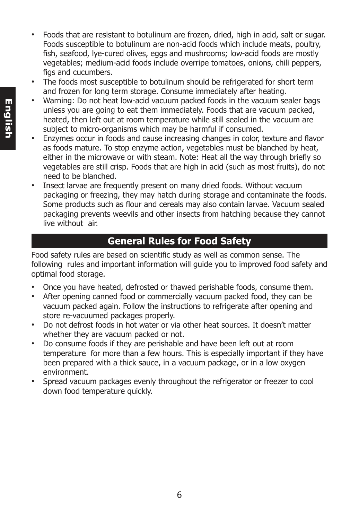- Foods that are resistant to botulinum are frozen, dried, high in acid, salt or sugar. Foods susceptible to botulinum are non-acid foods which include meats, poultry, fish, seafood, lye-cured olives, eggs and mushrooms; low-acid foods are mostly vegetables; medium-acid foods include overripe tomatoes, onions, chili peppers, figs and cucumbers.
- The foods most susceptible to botulinum should be refrigerated for short term and frozen for long term storage. Consume immediately after heating.
- Warning: Do not heat low-acid vacuum packed foods in the vacuum sealer bags unless you are going to eat them immediately. Foods that are vacuum packed, heated, then left out at room temperature while still sealed in the vacuum are subject to micro-organisms which may be harmful if consumed.
- Enzymes occur in foods and cause increasing changes in color, texture and flavor as foods mature. To stop enzyme action, vegetables must be blanched by heat, either in the microwave or with steam. Note: Heat all the way through briefly so vegetables are still crisp. Foods that are high in acid (such as most fruits), do not need to be blanched.
- Insect larvae are frequently present on many dried foods. Without vacuum packaging or freezing, they may hatch during storage and contaminate the foods. Some products such as flour and cereals may also contain larvae. Vacuum sealed packaging prevents weevils and other insects from hatching because they cannot live without air.

## **General Rules for Food Safety**

Food safety rules are based on scientific study as well as common sense. The following rules and important information will guide you to improved food safety and optimal food storage.

- Once you have heated, defrosted or thawed perishable foods, consume them.
- After opening canned food or commercially vacuum packed food, they can be vacuum packed again. Follow the instructions to refrigerate after opening and store re-vacuumed packages properly.
- Do not defrost foods in hot water or via other heat sources. It doesn't matter whether they are vacuum packed or not.
- Do consume foods if they are perishable and have been left out at room temperature for more than a few hours. This is especially important if they have been prepared with a thick sauce, in a vacuum package, or in a low oxygen environment.
- Spread vacuum packages evenly throughout the refrigerator or freezer to cool down food temperature quickly.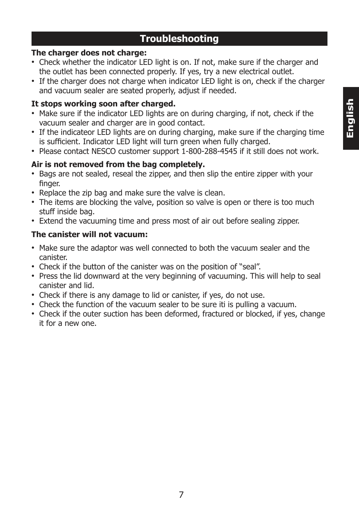#### **Troubleshooting**

#### **The charger does not charge:**

- Check whether the indicator LED light is on. If not, make sure if the charger and the outlet has been connected properly. If yes, try a new electrical outlet.
- If the charger does not charge when indicator LED light is on, check if the charger and vacuum sealer are seated properly, adjust if needed.

#### **It stops working soon after charged.**

- Make sure if the indicator LED lights are on during charging, if not, check if the vacuum sealer and charger are in good contact.
- If the indicateor LED lights are on during charging, make sure if the charging time is sufficient. Indicator LED light will turn green when fully charged.
- Please contact NESCO customer support 1-800-288-4545 if it still does not work.

#### **Air is not removed from the bag completely.**

- Bags are not sealed, reseal the zipper, and then slip the entire zipper with your finger.
- Replace the zip bag and make sure the valve is clean.
- The items are blocking the valve, position so valve is open or there is too much stuff inside bag.
- Extend the vacuuming time and press most of air out before sealing zipper.

#### **The canister will not vacuum:**

- Make sure the adaptor was well connected to both the vacuum sealer and the canister.
- Check if the button of the canister was on the position of "seal".
- Press the lid downward at the very beginning of vacuuming. This will help to seal canister and lid.
- Check if there is any damage to lid or canister, if yes, do not use.
- Check the function of the vacuum sealer to be sure iti is pulling a vacuum.
- Check if the outer suction has been deformed, fractured or blocked, if yes, change it for a new one.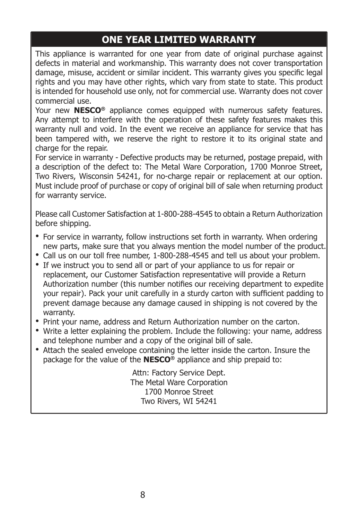# **ONE YEAR LIMITED WARRANTY**

This appliance is warranted for one year from date of original purchase against defects in material and workmanship. This warranty does not cover transportation damage, misuse, accident or similar incident. This warranty gives you specific legal rights and you may have other rights, which vary from state to state. This product is intended for household use only, not for commercial use. Warranty does not cover commercial use.

Your new **NESCO®** appliance comes equipped with numerous safety features. Any attempt to interfere with the operation of these safety features makes this warranty null and void. In the event we receive an appliance for service that has been tampered with, we reserve the right to restore it to its original state and charge for the repair.

For service in warranty - Defective products may be returned, postage prepaid, with a description of the defect to: The Metal Ware Corporation, 1700 Monroe Street, Two Rivers, Wisconsin 54241, for no-charge repair or replacement at our option. Must include proof of purchase or copy of original bill of sale when returning product for warranty service.

Please call Customer Satisfaction at 1-800-288-4545 to obtain a Return Authorization before shipping.

- For service in warranty, follow instructions set forth in warranty. When ordering new parts, make sure that you always mention the model number of the product.
- Call us on our toll free number, 1-800-288-4545 and tell us about your problem.
- If we instruct you to send all or part of your appliance to us for repair or replacement, our Customer Satisfaction representative will provide a Return Authorization number (this number notifies our receiving department to expedite your repair). Pack your unit carefully in a sturdy carton with sufficient padding to prevent damage because any damage caused in shipping is not covered by the warranty.
- Print your name, address and Return Authorization number on the carton.
- Write a letter explaining the problem. Include the following: your name, address and telephone number and a copy of the original bill of sale.
- Attach the sealed envelope containing the letter inside the carton. Insure the package for the value of the **NESCO®** appliance and ship prepaid to:

Attn: Factory Service Dept. The Metal Ware Corporation 1700 Monroe Street Two Rivers, WI 54241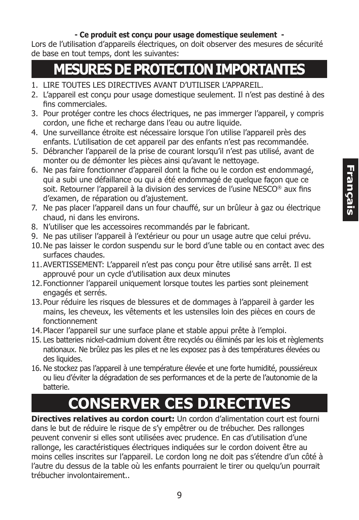#### **- Ce produit est conçu pour usage domestique seulement -**

Lors de l'utilisation d'appareils électriques, on doit observer des mesures de sécurité de base en tout temps, dont les suivantes:

# **MESURES DE PROTECTION IMPORTANTES**

- 1. LIRE TOUTES LES DIRECTIVES AVANT D'UTILISER L'APPAREIL.
- 2. L'appareil est conçu pour usage domestique seulement. Il n'est pas destiné à des fins commerciales.
- 3. Pour protéger contre les chocs électriques, ne pas immerger l'appareil, y compris cordon, une fiche et recharge dans l'eau ou autre liquide.
- 4. Une surveillance étroite est nécessaire lorsque l'on utilise l'appareil près des enfants. L'utilisation de cet appareil par des enfants n'est pas recommandée.
- 5. Débrancher l'appareil de la prise de courant lorsqu'il n'est pas utilisé, avant de monter ou de démonter les pièces ainsi qu'avant le nettoyage.
- 6. Ne pas faire fonctionner d'appareil dont la fiche ou le cordon est endommagé, qui a subi une défaillance ou qui a été endommagé de quelque façon que ce soit. Retourner l'appareil à la division des services de l'usine NESCO® aux fins d'examen, de réparation ou d'ajustement.
- 7. Ne pas placer l'appareil dans un four chauffé, sur un brûleur à gaz ou électrique chaud, ni dans les environs.
- 8. N'utiliser que les accessoires recommandés par le fabricant.
- 9. Ne pas utiliser l'appareil à l'extérieur ou pour un usage autre que celui prévu.
- 10. Ne pas laisser le cordon suspendu sur le bord d'une table ou en contact avec des surfaces chaudes.
- 11. AVERTISSEMENT: L'appareil n'est pas conçu pour être utilisé sans arrêt. Il est approuvé pour un cycle d'utilisation aux deux minutes
- 12. Fonctionner l'appareil uniquement lorsque toutes les parties sont pleinement engagés et serrés.
- 13. Pour réduire les risques de blessures et de dommages à l'appareil à garder les mains, les cheveux, les vêtements et les ustensiles loin des pièces en cours de fonctionnement
- 14. Placer l'appareil sur une surface plane et stable appui prête à l'emploi.
- 15. Les batteries nickel-cadmium doivent être recyclés ou éliminés par les lois et règlements nationaux. Ne brûlez pas les piles et ne les exposez pas à des températures élevées ou des liquides.
- 16. Ne stockez pas l'appareil à une température élevée et une forte humidité, poussiéreux ou lieu d'éviter la dégradation de ses performances et de la perte de l'autonomie de la batterie.

# **CONSERVER CES DIRECTIVES**

**Directives relatives au cordon court:** Un cordon d'alimentation court est fourni dans le but de réduire le risque de s'y empêtrer ou de trébucher. Des rallonges peuvent convenir si elles sont utilisées avec prudence. En cas d'utilisation d'une rallonge, les caractéristiques électriques indiquées sur le cordon doivent être au moins celles inscrites sur l'appareil. Le cordon long ne doit pas s'étendre d'un côté à l'autre du dessus de la table où les enfants pourraient le tirer ou quelqu'un pourrait trébucher involontairement..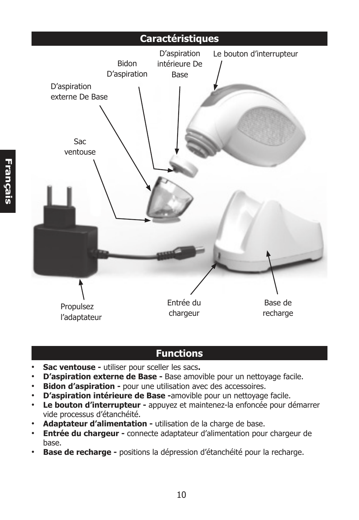# **Caractéristiques** Bidon D'aspiration D'aspiration intérieure De Base Sac ventouse D'aspiration externe De Base Entrée du chargeur Base de recharge Propulsez l'adaptateur Le bouton d'interrupteur

# **Functions**

- **Sac ventouse** utiliser pour sceller les sacs**.**
- **D'aspiration externe de Base** Base amovible pour un nettoyage facile.
- **Bidon d'aspiration -** pour une utilisation avec des accessoires.
- **D'aspiration intérieure de Base -**amovible pour un nettoyage facile.
- **Le bouton d'interrupteur** appuyez et maintenez-la enfoncée pour démarrer vide processus d'étanchéité.
- **Adaptateur d'alimentation** utilisation de la charge de base.
- **Entrée du chargeur** connecte adaptateur d'alimentation pour chargeur de base.
- **Base de recharge -** positions la dépression d'étanchéité pour la recharge.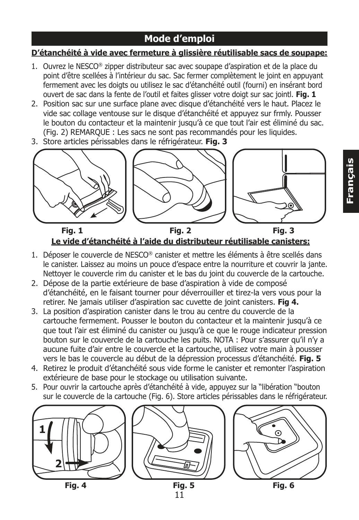## **Mode d'emploi**

#### **D'étanchéité à vide avec fermeture à glissière réutilisable sacs de soupape:**

- 1. Ouvrez le NESCO® zipper distributeur sac avec soupape d'aspiration et de la place du point d'être scellées à l'intérieur du sac. Sac fermer complètement le joint en appuyant fermement avec les doigts ou utilisez le sac d'étanchéité outil (fourni) en insérant bord ouvert de sac dans la fente de l'outil et faites glisser votre doigt sur sac jointl. **Fig. 1**
- 2. Position sac sur une surface plane avec disque d'étanchéité vers le haut. Placez le vide sac collage ventouse sur le disque d'étanchéité et appuyez sur frmly. Pousser le bouton du contacteur et la maintenir jusqu'à ce que tout l'air est éliminé du sac. (Fig. 2) REMARQUE : Les sacs ne sont pas recommandés pour les liquides.
- 3. Store articles périssables dans le réfrigérateur. **Fig. 3**



#### **Le vide d'étanchéité à l'aide du distributeur réutilisable canisters: Fig. 1 Fig. 2 Fig. 3**

- 1. Déposer le couvercle de NESCO® canister et mettre les éléments à être scellés dans le canister. Laissez au moins un pouce d'espace entre la nourriture et couvrir la jante. Nettoyer le couvercle rim du canister et le bas du joint du couvercle de la cartouche.
- 2. Dépose de la partie extérieure de base d'aspiration à vide de composé d'étanchéité, en le faisant tourner pour déverrouiller et tirez-la vers vous pour la retirer. Ne jamais utiliser d'aspiration sac cuvette de joint canisters. **Fig 4.**
- 3. La position d'aspiration canister dans le trou au centre du couvercle de la cartouche fermement. Pousser le bouton du contacteur et la maintenir jusqu'à ce que tout l'air est éliminé du canister ou jusqu'à ce que le rouge indicateur pression bouton sur le couvercle de la cartouche les puits. NOTA : Pour s'assurer qu'il n'y a aucune fuite d'air entre le couvercle et la cartouche, utilisez votre main à pousser vers le bas le couvercle au début de la dépression processus d'étanchéité. **Fig. 5**
- 4. Retirez le produit d'étanchéité sous vide forme le canister et remonter l'aspiration extérieure de base pour le stockage ou utilisation suivante.
- 5. Pour ouvrir la cartouche après d'étanchéité à vide, appuyez sur la "libération "bouton sur le couvercle de la cartouche (Fig. 6). Store articles périssables dans le réfrigérateur.

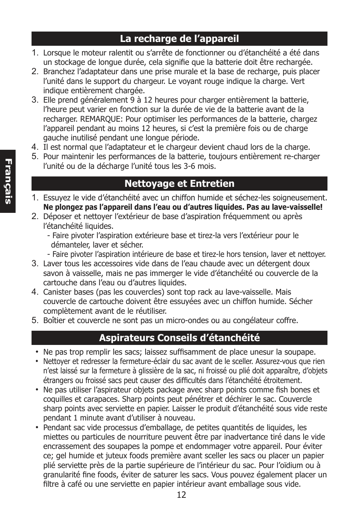#### **La recharge de l'appareil**

- 1. Lorsque le moteur ralentit ou s'arrête de fonctionner ou d'étanchéité a été dans un stockage de longue durée, cela signifie que la batterie doit être rechargée.
- 2. Branchez l'adaptateur dans une prise murale et la base de recharge, puis placer l'unité dans le support du chargeur. Le voyant rouge indique la charge. Vert indique entièrement chargée.
- 3. Elle prend généralement 9 à 12 heures pour charger entièrement la batterie, l'heure peut varier en fonction sur la durée de vie de la batterie avant de la recharger. REMARQUE: Pour optimiser les performances de la batterie, chargez l'appareil pendant au moins 12 heures, si c'est la première fois ou de charge gauche inutilisé pendant une longue période.
- 4. Il est normal que l'adaptateur et le chargeur devient chaud lors de la charge.
- 5. Pour maintenir les performances de la batterie, toujours entièrement re-charger l'unité ou de la décharge l'unité tous les 3-6 mois.

# **Nettoyage et Entretien**

- 1. Essuyez le vide d'étanchéité avec un chiffon humide et séchez-les soigneusement. **Ne plongez pas l'appareil dans l'eau ou d'autres liquides. Pas au lave-vaisselle!**
- 2. Déposer et nettoyer l'extérieur de base d'aspiration fréquemment ou après l'étanchéité liquides.
	- Faire pivoter l'aspiration extérieure base et tirez-la vers l'extérieur pour le démanteler, laver et sécher.
	- Faire pivoter l'aspiration intérieure de base et tirez-le hors tension, laver et nettoyer.
- 3. Laver tous les accessoires vide dans de l'eau chaude avec un détergent doux savon à vaisselle, mais ne pas immerger le vide d'étanchéité ou couvercle de la cartouche dans l'eau ou d'autres liquides.
- 4. Canister bases (pas les couvercles) sont top rack au lave-vaisselle. Mais couvercle de cartouche doivent être essuyées avec un chiffon humide. Sécher complètement avant de le réutiliser.
- 5. Boîtier et couvercle ne sont pas un micro-ondes ou au congélateur coffre.

## **Aspirateurs Conseils d'étanchéité**

- Ne pas trop remplir les sacs; laissez suffisamment de place unesur la soupape.
- Nettoyer et redresser la fermeture-éclair du sac avant de le sceller. Assurez-vous que rien n'est laissé sur la fermeture à glissière de la sac, ni froissé ou plié doit apparaître, d'objets étrangers ou froissé sacs peut causer des difficultés dans l'étanchéité étroitement.
- Ne pas utiliser l'aspirateur objets package avec sharp points comme fish bones et coquilles et carapaces. Sharp points peut pénétrer et déchirer le sac. Couvercle sharp points avec serviette en papier. Laisser le produit d'étanchéité sous vide reste pendant 1 minute avant d'utiliser à nouveau.
- Pendant sac vide processus d'emballage, de petites quantités de liquides, les miettes ou particules de nourriture peuvent être par inadvertance tiré dans le vide encrassement des soupapes la pompe et endommager votre appareil. Pour éviter ce; gel humide et juteux foods première avant sceller les sacs ou placer un papier plié serviette près de la partie supérieure de l'intérieur du sac. Pour l'oïdium ou à granularité fine foods, éviter de saturer les sacs. Vous pouvez également placer un filtre à café ou une serviette en papier intérieur avant emballage sous vide.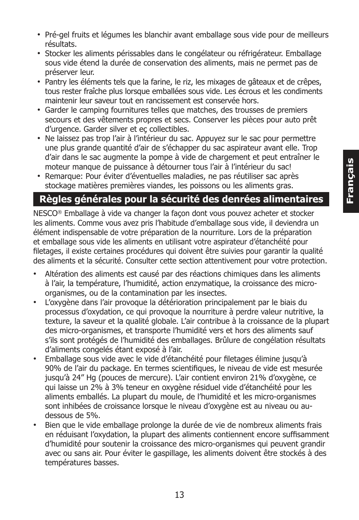- Pré-gel fruits et légumes les blanchir avant emballage sous vide pour de meilleurs résultats.
- Stocker les aliments périssables dans le congélateur ou réfrigérateur. Emballage sous vide étend la durée de conservation des aliments, mais ne permet pas de préserver leur.
- Pantry les éléments tels que la farine, le riz, les mixages de gâteaux et de crêpes, tous rester fraîche plus lorsque emballées sous vide. Les écrous et les condiments maintenir leur saveur tout en rancissement est conservée hors.
- Garder le camping fournitures telles que matches, des trousses de premiers secours et des vêtements propres et secs. Conserver les pièces pour auto prêt d'urgence. Garder silver et eç collectibles.
- Ne laissez pas trop l'air à l'intérieur du sac. Appuyez sur le sac pour permettre une plus grande quantité d'air de s'échapper du sac aspirateur avant elle. Trop d'air dans le sac augmente la pompe à vide de chargement et peut entraîner le moteur manque de puissance à détourner tous l'air à l'intérieur du sac!
- Remarque: Pour éviter d'éventuelles maladies, ne pas réutiliser sac après stockage matières premières viandes, les poissons ou les aliments gras.

# **Règles générales pour la sécurité des denrées alimentaires**

NESCO® Emballage à vide va changer la façon dont vous pouvez acheter et stocker les aliments. Comme vous avez pris l'habitude d'emballage sous vide, il deviendra un élément indispensable de votre préparation de la nourriture. Lors de la préparation et emballage sous vide les aliments en utilisant votre aspirateur d'étanchéité pour filetages, il existe certaines procédures qui doivent être suivies pour garantir la qualité des aliments et la sécurité. Consulter cette section attentivement pour votre protection.

- Altération des aliments est causé par des réactions chimiques dans les aliments à l'air, la température, l'humidité, action enzymatique, la croissance des microorganismes, ou de la contamination par les insectes.
- L'oxygène dans l'air provoque la détérioration principalement par le biais du processus d'oxydation, ce qui provoque la nourriture à perdre valeur nutritive, la texture, la saveur et la qualité globale. L'air contribue à la croissance de la plupart des micro-organismes, et transporte l'humidité vers et hors des aliments sauf s'ils sont protégés de l'humidité des emballages. Brûlure de congélation résultats d'aliments congelés étant exposé à l'air.
- Emballage sous vide avec le vide d'étanchéité pour filetages élimine jusqu'à 90% de l'air du package. En termes scientifiques, le niveau de vide est mesurée jusqu'à 24" Hg (pouces de mercure). L'air contient environ 21% d'oxygène, ce qui laisse un 2% à 3% teneur en oxygène résiduel vide d'étanchéité pour les aliments emballés. La plupart du moule, de l'humidité et les micro-organismes sont inhibées de croissance lorsque le niveau d'oxygène est au niveau ou audessous de 5%.
- Bien que le vide emballage prolonge la durée de vie de nombreux aliments frais en réduisant l'oxydation, la plupart des aliments contiennent encore suffisamment d'humidité pour soutenir la croissance des micro-organismes qui peuvent grandir avec ou sans air. Pour éviter le gaspillage, les aliments doivent être stockés à des températures basses.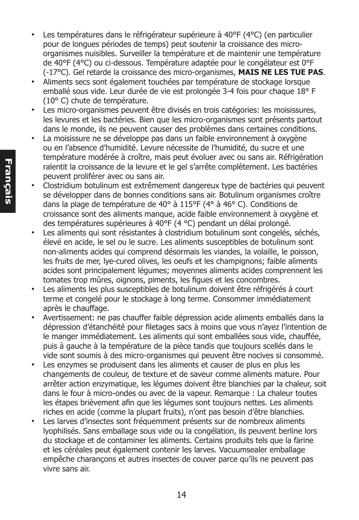- Les températures dans le réfrigérateur supérieure à 40°F (4°C) (en particulier pour de longues périodes de temps) peut soutenir la croissance des microorganismes nuisibles. Surveiller la température et de maintenir une température de 40°F (4°C) ou ci-dessous. Température adaptée pour le congélateur est 0°F (-17°C). Gel retarde la croissance des micro-organismes, **MAIS NE LES TUE PAS**.
- Aliments secs sont également touchées par température de stockage lorsque emballé sous vide. Leur durée de vie est prolongée 3-4 fois pour chaque 18° F (10° C) chute de température.
- Les micro-organismes peuvent être divisés en trois catégories: les moisissures, les levures et les bactéries. Bien que les micro-organismes sont présents partout dans le monde, ils ne peuvent causer des problèmes dans certaines conditions.
- La moisissure ne se développe pas dans un faible environnement à oxygène ou en l'absence d'humidité. Levure nécessite de l'humidité, du sucre et une température modérée à croître, mais peut évoluer avec ou sans air. Réfrigération ralentit la croissance de la levure et le gel s'arrête complètement. Les bactéries peuvent proliférer avec ou sans air.
- Clostridium botulinum est extrêmement dangereux type de bactéries qui peuvent se développer dans de bonnes conditions sans air. Botulinum organismes croître dans la plage de température de 40° à 115°F (4° à 46° C). Conditions de croissance sont des aliments manque, acide faible environnement à oxygène et des températures supérieures à 40°F (4 °C) pendant un délai prolongé.
- Les aliments qui sont résistantes à clostridium botulinum sont congelés, séchés, élevé en acide, le sel ou le sucre. Les aliments susceptibles de botulinum sont non-aliments acides qui comprend désormais les viandes, la volaille, le poisson, les fruits de mer, lye-cured olives, les oeufs et les champignons; faible aliments acides sont principalement légumes; moyennes aliments acides comprennent les tomates trop mûres, oignons, piments, les figues et les concombres.
- Les aliments les plus susceptibles de botulinum doivent être réfrigérés à court terme et congelé pour le stockage à long terme. Consommer immédiatement après le chauffage.
- Avertissement: ne pas chauffer faible dépression acide aliments emballés dans la dépression d'étanchéité pour filetages sacs à moins que vous n'ayez l'intention de le manger immédiatement. Les aliments qui sont emballées sous vide, chauffée, puis à gauche à la température de la pièce tandis que toujours scellés dans le vide sont soumis à des micro-organismes qui peuvent être nocives si consommé.
- Les enzymes se produisent dans les aliments et causer de plus en plus les changements de couleur, de texture et de saveur comme aliments mature. Pour arrêter action enzymatique, les légumes doivent être blanchies par la chaleur, soit dans le four à micro-ondes ou avec de la vapeur. Remarque : La chaleur toutes les étapes brièvement afin que les légumes sont toujours nettes. Les aliments riches en acide (comme la plupart fruits), n'ont pas besoin d'être blanchies.
- Les larves d'insectes sont fréquemment présents sur de nombreux aliments lyophilisés. Sans emballage sous vide ou la congélation, ils peuvent berline lors du stockage et de contaminer les aliments. Certains produits tels que la farine et les céréales peut également contenir les larves. Vacuumsealer emballage empêche charançons et autres insectes de couver parce qu'ils ne peuvent pas vivre sans air.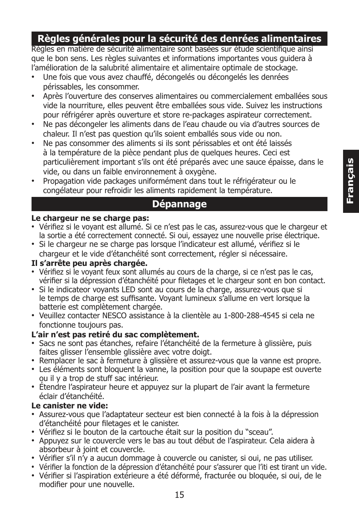## **Règles générales pour la sécurité des denrées alimentaires**

Règles en matière de sécurité alimentaire sont basées sur étude scientifique ainsi que le bon sens. Les règles suivantes et informations importantes vous guidera à l'amélioration de la salubrité alimentaire et alimentaire optimale de stockage.

- Une fois que vous avez chauffé, décongelés ou décongelés les denrées périssables, les consommer.
- Après l'ouverture des conserves alimentaires ou commercialement emballées sous vide la nourriture, elles peuvent être emballées sous vide. Suivez les instructions pour réfrigérer après ouverture et store re-packages aspirateur correctement.
- Ne pas décongeler les aliments dans de l'eau chaude ou via d'autres sources de chaleur. Il n'est pas question qu'ils soient emballés sous vide ou non.
- Ne pas consommer des aliments si ils sont périssables et ont été laissés à la température de la pièce pendant plus de quelques heures. Ceci est particulièrement important s'ils ont été préparés avec une sauce épaisse, dans le vide, ou dans un faible environnement à oxygène.
- Propagation vide packages uniformément dans tout le réfrigérateur ou le congélateur pour refroidir les aliments rapidement la température.

#### **Dépannage**

#### **Le chargeur ne se charge pas:**

- Vérifiez si le voyant est allumé. Si ce n'est pas le cas, assurez-vous que le chargeur et la sortie a été correctement connecté. Si oui, essayez une nouvelle prise électrique.
- Si le chargeur ne se charge pas lorsque l'indicateur est allumé, vérifiez si le chargeur et le vide d'étanchéité sont correctement, régler si nécessaire.

#### **Il s'arrête peu après chargée.**

- Vérifiez si le voyant feux sont allumés au cours de la charge, si ce n'est pas le cas, vérifier si la dépression d'étanchéité pour filetages et le chargeur sont en bon contact.
- Si le indicateor voyants LED sont au cours de la charge, assurez-vous que si le temps de charge est suffisante. Voyant lumineux s'allume en vert lorsque la batterie est complètement chargée.
- Veuillez contacter NESCO assistance à la clientèle au 1-800-288-4545 si cela ne fonctionne toujours pas.

#### **L'air n'est pas retiré du sac complètement.**

- Sacs ne sont pas étanches, refaire l'étanchéité de la fermeture à glissière, puis faites glisser l'ensemble glissière avec votre doigt.
- Remplacer le sac à fermeture à glissière et assurez-vous que la vanne est propre.
- Les éléments sont bloquent la vanne, la position pour que la soupape est ouverte ou il y a trop de stuff sac intérieur.
- Étendre l'aspirateur heure et appuyez sur la plupart de l'air avant la fermeture éclair d'étanchéité.

#### **Le canister ne vide:**

- Assurez-vous que l'adaptateur secteur est bien connecté à la fois à la dépression d'étanchéité pour filetages et le canister.
- Vérifiez si le bouton de la cartouche était sur la position du "sceau".
- Appuyez sur le couvercle vers le bas au tout début de l'aspirateur. Cela aidera à absorbeur à joint et couvercle.
- Vérifier s'il n'y a aucun dommage à couvercle ou canister, si oui, ne pas utiliser.
- Vérifier la fonction de la dépression d'étanchéité pour s'assurer que l'iti est tirant un vide.
- Vérifier si l'aspiration extérieure a été déformé, fracturée ou bloquée, si oui, de le modifier pour une nouvelle.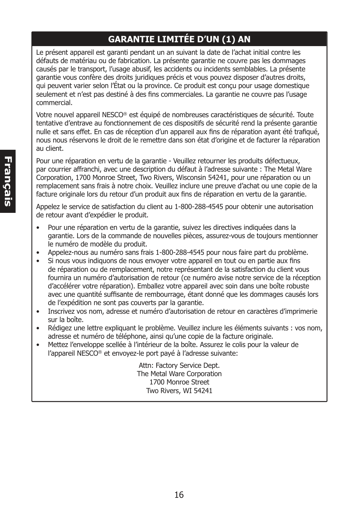#### **GARANTIE LIMITÉE D'UN (1) AN**

Le présent appareil est garanti pendant un an suivant la date de l'achat initial contre les défauts de matériau ou de fabrication. La présente garantie ne couvre pas les dommages causés par le transport, l'usage abusif, les accidents ou incidents semblables. La présente garantie vous confère des droits juridiques précis et vous pouvez disposer d'autres droits, qui peuvent varier selon l'État ou la province. Ce produit est conçu pour usage domestique seulement et n'est pas destiné à des fins commerciales. La garantie ne couvre pas l'usage commercial.

Votre nouvel appareil NESCO® est équipé de nombreuses caractéristiques de sécurité. Toute tentative d'entrave au fonctionnement de ces dispositifs de sécurité rend la présente garantie nulle et sans effet. En cas de réception d'un appareil aux fins de réparation ayant été trafiqué, nous nous réservons le droit de le remettre dans son état d'origine et de facturer la réparation au client.

Pour une réparation en vertu de la garantie - Veuillez retourner les produits défectueux, par courrier affranchi, avec une description du défaut à l'adresse suivante : The Metal Ware Corporation, 1700 Monroe Street, Two Rivers, Wisconsin 54241, pour une réparation ou un remplacement sans frais à notre choix. Veuillez inclure une preuve d'achat ou une copie de la facture originale lors du retour d'un produit aux fins de réparation en vertu de la garantie.

Appelez le service de satisfaction du client au 1-800-288-4545 pour obtenir une autorisation de retour avant d'expédier le produit.

- Pour une réparation en vertu de la garantie, suivez les directives indiquées dans la garantie. Lors de la commande de nouvelles pièces, assurez-vous de toujours mentionner le numéro de modèle du produit.
- Appelez-nous au numéro sans frais 1-800-288-4545 pour nous faire part du problème.
- Si nous vous indiquons de nous envoyer votre appareil en tout ou en partie aux fins de réparation ou de remplacement, notre représentant de la satisfaction du client vous fournira un numéro d'autorisation de retour (ce numéro avise notre service de la réception d'accélérer votre réparation). Emballez votre appareil avec soin dans une boîte robuste avec une quantité suffisante de rembourrage, étant donné que les dommages causés lors de l'expédition ne sont pas couverts par la garantie.
- Inscrivez vos nom, adresse et numéro d'autorisation de retour en caractères d'imprimerie sur la boîte.
- Rédigez une lettre expliquant le problème. Veuillez inclure les éléments suivants : vos nom, adresse et numéro de téléphone, ainsi qu'une copie de la facture originale.
- Mettez l'enveloppe scellée à l'intérieur de la boîte. Assurez le colis pour la valeur de l'appareil NESCO® et envoyez-le port payé à l'adresse suivante:

Attn: Factory Service Dept. The Metal Ware Corporation 1700 Monroe Street Two Rivers, WI 54241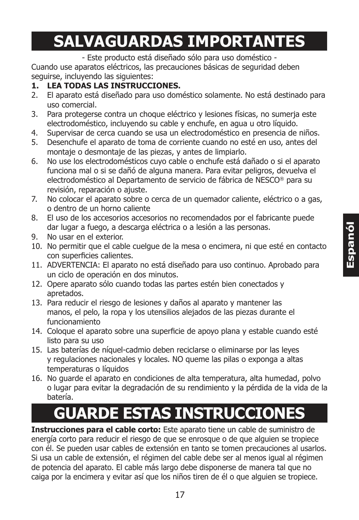# **SALVAGUARDAS IMPORTANTES**

- Este producto está diseñado sólo para uso doméstico -

Cuando use aparatos eléctricos, las precauciones básicas de seguridad deben seguirse, incluyendo las siguientes:

#### **1. LEA TODAS LAS INSTRUCCIONES.**

- 2. El aparato está diseñado para uso doméstico solamente. No está destinado para uso comercial.
- 3. Para protegerse contra un choque eléctrico y lesiones físicas, no sumerja este electrodoméstico, incluyendo su cable y enchufe, en agua u otro líquido.
- 4. Supervisar de cerca cuando se usa un electrodoméstico en presencia de niños.
- 5. Desenchufe el aparato de toma de corriente cuando no esté en uso, antes del montaje o desmontaje de las piezas, y antes de limpiarlo.
- 6. No use los electrodomésticos cuyo cable o enchufe está dañado o si el aparato funciona mal o si se dañó de alguna manera. Para evitar peligros, devuelva el electrodoméstico al Departamento de servicio de fábrica de NESCO® para su revisión, reparación o ajuste.
- 7. No colocar el aparato sobre o cerca de un quemador caliente, eléctrico o a gas, o dentro de un horno caliente
- 8. El uso de los accesorios accesorios no recomendados por el fabricante puede dar lugar a fuego, a descarga eléctrica o a lesión a las personas.
- 9. No usar en el exterior.
- 10. No permitir que el cable cuelgue de la mesa o encimera, ni que esté en contacto con superficies calientes.
- 11. ADVERTENCIA: El aparato no está diseñado para uso continuo. Aprobado para un ciclo de operación en dos minutos.
- 12. Opere aparato sólo cuando todas las partes estén bien conectados y apretados.
- 13. Para reducir el riesgo de lesiones y daños al aparato y mantener las manos, el pelo, la ropa y los utensilios alejados de las piezas durante el funcionamiento
- 14. Coloque el aparato sobre una superficie de apoyo plana y estable cuando esté listo para su uso
- 15. Las baterías de níquel-cadmio deben reciclarse o eliminarse por las leyes y regulaciones nacionales y locales. NO queme las pilas o exponga a altas temperaturas o líquidos
- 16. No guarde el aparato en condiciones de alta temperatura, alta humedad, polvo o lugar para evitar la degradación de su rendimiento y la pérdida de la vida de la batería.

# **GUARDE ESTAS INSTRUCCIONES**

**Instrucciones para el cable corto:** Este aparato tiene un cable de suministro de energía corto para reducir el riesgo de que se enrosque o de que alguien se tropiece con él. Se pueden usar cables de extensión en tanto se tomen precauciones al usarlos. Si usa un cable de extensión, el régimen del cable debe ser al menos igual al régimen de potencia del aparato. El cable más largo debe disponerse de manera tal que no caiga por la encimera y evitar así que los niños tiren de él o que alguien se tropiece.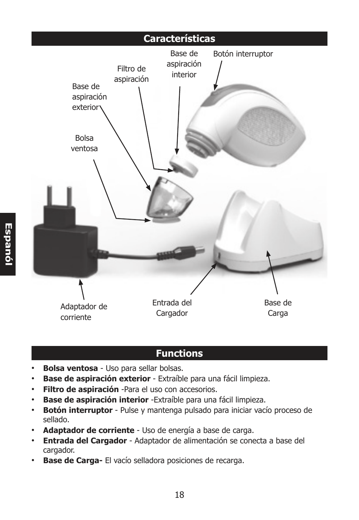

# **Functions**

- **Bolsa ventosa** Uso para sellar bolsas.
- **Base de aspiración exterior**  Extraíble para una fácil limpieza.
- **Filtro de aspiración** -Para el uso con accesorios.
- **Base de aspiración interior** -Extraíble para una fácil limpieza.
- **Botón interruptor** Pulse y mantenga pulsado para iniciar vacío proceso de sellado.
- **Adaptador de corriente** Uso de energía a base de carga.
- **Entrada del Cargador** Adaptador de alimentación se conecta a base del cargador.
- **Base de Carga-** El vacío selladora posiciones de recarga.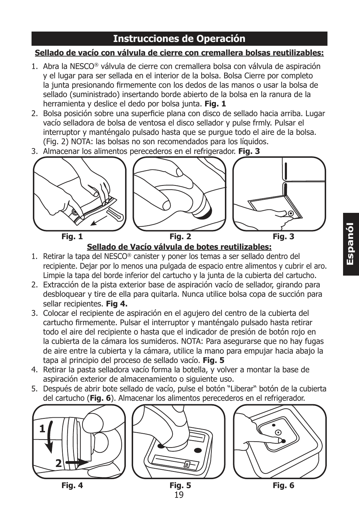#### **Instrucciones de Operación**

#### **Sellado de vacío con válvula de cierre con cremallera bolsas reutilizables:**

- 1. Abra la NESCO® válvula de cierre con cremallera bolsa con válvula de aspiración y el lugar para ser sellada en el interior de la bolsa. Bolsa Cierre por completo la junta presionando firmemente con los dedos de las manos o usar la bolsa de sellado (suministrado) insertando borde abierto de la bolsa en la ranura de la herramienta y deslice el dedo por bolsa junta. **Fig. 1**
- 2. Bolsa posición sobre una superficie plana con disco de sellado hacia arriba. Lugar vacío selladora de bolsa de ventosa el disco sellador y pulse frmly. Pulsar el interruptor y manténgalo pulsado hasta que se purgue todo el aire de la bolsa. (Fig. 2) NOTA: las bolsas no son recomendados para los líquidos.
- 3. Almacenar los alimentos perecederos en el refrigerador. **Fig. 3**



**Sellado de Vacío válvula de botes reutilizables:**

- 1. Retirar la tapa del NESCO® canister y poner los temas a ser sellado dentro del recipiente. Dejar por lo menos una pulgada de espacio entre alimentos y cubrir el aro. Limpie la tapa del borde inferior del cartucho y la junta de la cubierta del cartucho.
- 2. Extracción de la pista exterior base de aspiración vacío de sellador, girando para desbloquear y tire de ella para quitarla. Nunca utilice bolsa copa de succión para sellar recipientes. **Fig 4.**
- 3. Colocar el recipiente de aspiración en el agujero del centro de la cubierta del cartucho firmemente. Pulsar el interruptor y manténgalo pulsado hasta retirar todo el aire del recipiente o hasta que el indicador de presión de botón rojo en la cubierta de la cámara los sumideros. NOTA: Para asegurarse que no hay fugas de aire entre la cubierta y la cámara, utilice la mano para empujar hacia abajo la tapa al principio del proceso de sellado vacío. **Fig. 5**
- 4. Retirar la pasta selladora vacío forma la botella, y volver a montar la base de aspiración exterior de almacenamiento o siguiente uso.
- 5. Después de abrir bote sellado de vacío, pulse el botón "Liberar" botón de la cubierta del cartucho (**Fig. 6**). Almacenar los alimentos perecederos en el refrigerador.

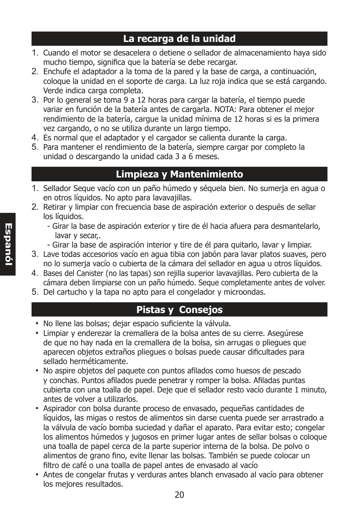#### **La recarga de la unidad**

- 1. Cuando el motor se desacelera o detiene o sellador de almacenamiento haya sido mucho tiempo, significa que la batería se debe recargar.
- 2. Enchufe el adaptador a la toma de la pared y la base de carga, a continuación, coloque la unidad en el soporte de carga. La luz roja indica que se está cargando. Verde indica carga completa.
- 3. Por lo general se toma 9 a 12 horas para cargar la batería, el tiempo puede variar en función de la batería antes de cargarla. NOTA: Para obtener el mejor rendimiento de la batería, cargue la unidad mínima de 12 horas si es la primera vez cargando, o no se utiliza durante un largo tiempo.
- 4. Es normal que el adaptador y el cargador se calienta durante la carga.
- 5. Para mantener el rendimiento de la batería, siempre cargar por completo la unidad o descargando la unidad cada 3 a 6 meses.

# **Limpieza y Mantenimiento**

- 1. Sellador Seque vacío con un paño húmedo y séquela bien. No sumerja en agua o en otros líquidos. No apto para lavavajillas.
- 2. Retirar y limpiar con frecuencia base de aspiración exterior o después de sellar los líquidos.
	- Girar la base de aspiración exterior y tire de él hacia afuera para desmantelarlo, lavar y secar,.
	- Girar la base de aspiración interior y tire de él para quitarlo, lavar y limpiar.
- 3. Lave todas accesorios vacío en agua tibia con jabón para lavar platos suaves, pero no lo sumerja vacío o cubierta de la cámara del sellador en agua u otros líquidos.
- 4. Bases del Canister (no las tapas) son rejilla superior lavavajillas. Pero cubierta de la cámara deben limpiarse con un paño húmedo. Seque completamente antes de volver.
- 5. Del cartucho y la tapa no apto para el congelador y microondas.

## **Pistas y Consejos**

- No llene las bolsas; dejar espacio suficiente la válvula.
- Limpiar y enderezar la cremallera de la bolsa antes de su cierre. Asegúrese de que no hay nada en la cremallera de la bolsa, sin arrugas o pliegues que aparecen objetos extraños pliegues o bolsas puede causar dificultades para sellado herméticamente.
- No aspire objetos del paquete con puntos afilados como huesos de pescado y conchas. Puntos afilados puede penetrar y romper la bolsa. Afiladas puntas cubierta con una toalla de papel. Deje que el sellador resto vacío durante 1 minuto, antes de volver a utilizarlos.
- Aspirador con bolsa durante proceso de envasado, pequeñas cantidades de líquidos, las migas o restos de alimentos sin darse cuenta puede ser arrastrado a la válvula de vacío bomba suciedad y dañar el aparato. Para evitar esto; congelar los alimentos húmedos y jugosos en primer lugar antes de sellar bolsas o coloque una toalla de papel cerca de la parte superior interna de la bolsa. De polvo o alimentos de grano fino, evite llenar las bolsas. También se puede colocar un filtro de café o una toalla de papel antes de envasado al vacío
- Antes de congelar frutas y verduras antes blanch envasado al vacío para obtener los mejores resultados.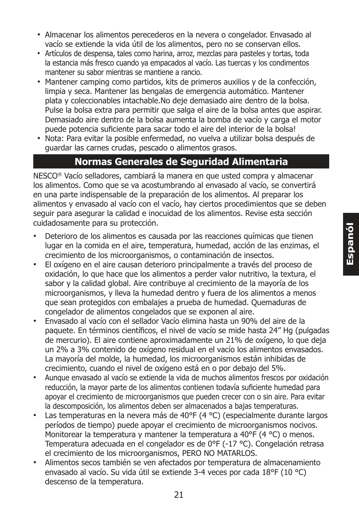- Almacenar los alimentos perecederos en la nevera o congelador. Envasado al vacío se extiende la vida útil de los alimentos, pero no se conservan ellos.
- Artículos de despensa, tales como harina, arroz, mezclas para pasteles y tortas, toda la estancia más fresco cuando ya empacados al vacío. Las tuercas y los condimentos mantener su sabor mientras se mantiene a rancio.
- Mantener camping como partidos, kits de primeros auxilios y de la confección, limpia y seca. Mantener las bengalas de emergencia automático. Mantener plata y coleccionables intachable.No deje demasiado aire dentro de la bolsa. Pulse la bolsa extra para permitir que salga el aire de la bolsa antes que aspirar. Demasiado aire dentro de la bolsa aumenta la bomba de vacío y carga el motor puede potencia suficiente para sacar todo el aire del interior de la bolsa!
- Nota: Para evitar la posible enfermedad, no vuelva a utilizar bolsa después de guardar las carnes crudas, pescado o alimentos grasos.

#### **Normas Generales de Seguridad Alimentaria**

NESCO® Vacío selladores, cambiará la manera en que usted compra y almacenar los alimentos. Como que se va acostumbrando al envasado al vacío, se convertirá en una parte indispensable de la preparación de los alimentos. Al preparar los alimentos y envasado al vacío con el vacío, hay ciertos procedimientos que se deben seguir para asegurar la calidad e inocuidad de los alimentos. Revise esta sección cuidadosamente para su protección.

- Deterioro de los alimentos es causada por las reacciones químicas que tienen lugar en la comida en el aire, temperatura, humedad, acción de las enzimas, el crecimiento de los microorganismos, o contaminación de insectos.
- El oxígeno en el aire causan deterioro principalmente a través del proceso de oxidación, lo que hace que los alimentos a perder valor nutritivo, la textura, el sabor y la calidad global. Aire contribuye al crecimiento de la mayoría de los microorganismos, y lleva la humedad dentro y fuera de los alimentos a menos que sean protegidos con embalajes a prueba de humedad. Quemaduras de congelador de alimentos congelados que se exponen al aire.
- Envasado al vacío con el sellador Vacío elimina hasta un 90% del aire de la paquete. En términos científicos, el nivel de vacío se mide hasta 24" Hg (pulgadas de mercurio). El aire contiene aproximadamente un 21% de oxígeno, lo que deja un 2% a 3% contenido de oxígeno residual en el vacío los alimentos envasados. La mayoría del molde, la humedad, los microorganismos están inhibidas de crecimiento, cuando el nivel de oxígeno está en o por debajo del 5%.
- Aunque envasado al vacío se extiende la vida de muchos alimentos frescos por oxidación reducción, la mayor parte de los alimentos contienen todavía suficiente humedad para apoyar el crecimiento de microorganismos que pueden crecer con o sin aire. Para evitar la descomposición, los alimentos deben ser almacenados a bajas temperaturas.
- Las temperaturas en la nevera más de 40°F (4 °C) (especialmente durante largos períodos de tiempo) puede apoyar el crecimiento de microorganismos nocivos. Monitorear la temperatura y mantener la temperatura a 40°F (4 °C) o menos. Temperatura adecuada en el congelador es de 0°F (-17 °C). Congelación retrasa el crecimiento de los microorganismos, PERO NO MATARLOS.
- Alimentos secos también se ven afectados por temperatura de almacenamiento envasado al vacío. Su vida útil se extiende 3-4 veces por cada 18°F (10 °C) descenso de la temperatura.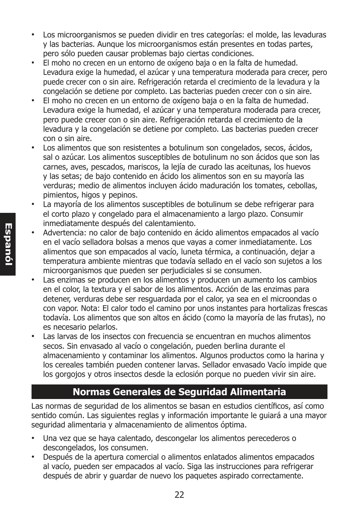- Los microorganismos se pueden dividir en tres categorías: el molde, las levaduras y las bacterias. Aunque los microorganismos están presentes en todas partes, pero sólo pueden causar problemas bajo ciertas condiciones.
- El moho no crecen en un entorno de oxígeno baja o en la falta de humedad. Levadura exige la humedad, el azúcar y una temperatura moderada para crecer, pero puede crecer con o sin aire. Refrigeración retarda el crecimiento de la levadura y la congelación se detiene por completo. Las bacterias pueden crecer con o sin aire.
- El moho no crecen en un entorno de oxígeno baja o en la falta de humedad. Levadura exige la humedad, el azúcar y una temperatura moderada para crecer, pero puede crecer con o sin aire. Refrigeración retarda el crecimiento de la levadura y la congelación se detiene por completo. Las bacterias pueden crecer con o sin aire.
- Los alimentos que son resistentes a botulinum son congelados, secos, ácidos, sal o azúcar. Los alimentos susceptibles de botulinum no son ácidos que son las carnes, aves, pescados, mariscos, la lejía de curado las aceitunas, los huevos y las setas; de bajo contenido en ácido los alimentos son en su mayoría las verduras; medio de alimentos incluyen ácido maduración los tomates, cebollas, pimientos, higos y pepinos.
- La mayoría de los alimentos susceptibles de botulinum se debe refrigerar para el corto plazo y congelado para el almacenamiento a largo plazo. Consumir inmediatamente después del calentamiento.
- Advertencia: no calor de bajo contenido en ácido alimentos empacados al vacío en el vacío selladora bolsas a menos que vayas a comer inmediatamente. Los alimentos que son empacados al vacío, luneta térmica, a continuación, dejar a temperatura ambiente mientras que todavía sellado en el vacío son sujetos a los microorganismos que pueden ser perjudiciales si se consumen.
- Las enzimas se producen en los alimentos y producen un aumento los cambios en el color, la textura y el sabor de los alimentos. Acción de las enzimas para detener, verduras debe ser resguardada por el calor, ya sea en el microondas o con vapor. Nota: El calor todo el camino por unos instantes para hortalizas frescas todavía. Los alimentos que son altos en ácido (como la mayoría de las frutas), no es necesario pelarlos.
- Las larvas de los insectos con frecuencia se encuentran en muchos alimentos secos. Sin envasado al vacío o congelación, pueden berlina durante el almacenamiento y contaminar los alimentos. Algunos productos como la harina y los cereales también pueden contener larvas. Sellador envasado Vacío impide que los gorgojos y otros insectos desde la eclosión porque no pueden vivir sin aire.

## **Normas Generales de Seguridad Alimentaria**

Las normas de seguridad de los alimentos se basan en estudios científicos, así como sentido común. Las siguientes reglas y información importante le guiará a una mayor seguridad alimentaria y almacenamiento de alimentos óptima.

- Una vez que se haya calentado, descongelar los alimentos perecederos o descongelados, los consumen.
- Después de la apertura comercial o alimentos enlatados alimentos empacados al vacío, pueden ser empacados al vacío. Siga las instrucciones para refrigerar después de abrir y guardar de nuevo los paquetes aspirado correctamente.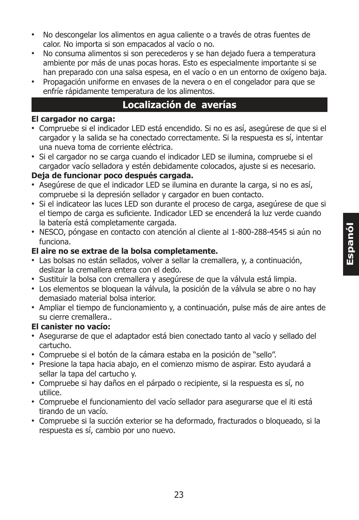- No descongelar los alimentos en agua caliente o a través de otras fuentes de calor. No importa si son empacados al vacío o no.
- No consuma alimentos si son perecederos y se han dejado fuera a temperatura ambiente por más de unas pocas horas. Esto es especialmente importante si se han preparado con una salsa espesa, en el vacío o en un entorno de oxígeno baja.
- Propagación uniforme en envases de la nevera o en el congelador para que se enfríe rápidamente temperatura de los alimentos.

#### **Localización de averías**

#### **El cargador no carga:**

- Compruebe si el indicador LED está encendido. Si no es así, asegúrese de que si el cargador y la salida se ha conectado correctamente. Si la respuesta es sí, intentar una nueva toma de corriente eléctrica.
- Si el cargador no se carga cuando el indicador LED se ilumina, compruebe si el cargador vacío selladora y estén debidamente colocados, ajuste si es necesario.

#### **Deja de funcionar poco después cargada.**

- Asegúrese de que el indicador LED se ilumina en durante la carga, si no es así, compruebe si la depresión sellador y cargador en buen contacto.
- Si el indicateor las luces LED son durante el proceso de carga, asegúrese de que si el tiempo de carga es suficiente. Indicador LED se encenderá la luz verde cuando la batería está completamente cargada.
- NESCO, póngase en contacto con atención al cliente al 1-800-288-4545 si aún no funciona.

#### **El aire no se extrae de la bolsa completamente.**

- Las bolsas no están sellados, volver a sellar la cremallera, y, a continuación, deslizar la cremallera entera con el dedo.
- Sustituir la bolsa con cremallera y asegúrese de que la válvula está limpia.
- Los elementos se bloquean la válvula, la posición de la válvula se abre o no hay demasiado material bolsa interior.
- Ampliar el tiempo de funcionamiento y, a continuación, pulse más de aire antes de su cierre cremallera..

#### **El canister no vacío:**

- Asegurarse de que el adaptador está bien conectado tanto al vacío y sellado del cartucho.
- Compruebe si el botón de la cámara estaba en la posición de "sello".
- Presione la tapa hacia abajo, en el comienzo mismo de aspirar. Esto ayudará a sellar la tapa del cartucho y.
- Compruebe si hay daños en el párpado o recipiente, si la respuesta es sí, no utilice.
- Compruebe el funcionamiento del vacío sellador para asegurarse que el iti está tirando de un vacío.
- Compruebe si la succión exterior se ha deformado, fracturados o bloqueado, si la respuesta es sí, cambio por uno nuevo.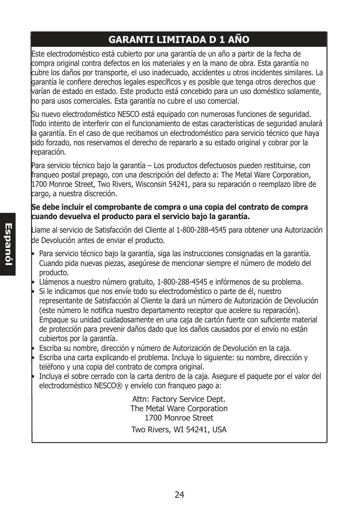# **GARANTI LIMITADA D 1 AÑO**

Este electrodoméstico está cubierto por una garantía de un año a partir de la fecha de compra original contra defectos en los materiales y en la mano de obra. Esta garantía no cubre los daños por transporte, el uso inadecuado, accidentes u otros incidentes similares. La garantía le confiere derechos legales específicos y es posible que tenga otros derechos que varían de estado en estado. Este producto está concebido para un uso doméstico solamente, no para usos comerciales. Esta garantía no cubre el uso comercial.

Su nuevo electrodoméstico NESCO está equipado con numerosas funciones de seguridad. Todo intento de interferir con el funcionamiento de estas características de seguridad anulará la garantía. En el caso de que recibamos un electrodoméstico para servicio técnico que haya sido forzado, nos reservamos el derecho de repararlo a su estado original y cobrar por la reparación.

Para servicio técnico bajo la garantía – Los productos defectuosos pueden restituirse, con franqueo postal prepago, con una descripción del defecto a: The Metal Ware Corporation, 1700 Monroe Street, Two Rivers, Wisconsin 54241, para su reparación o reemplazo libre de cargo, a nuestra discreción.

#### **Se debe incluir el comprobante de compra o una copia del contrato de compra cuando devuelva el producto para el servicio bajo la garantía.**

Llame al servicio de Satisfacción del Cliente al 1-800-288-4545 para obtener una Autorización de Devolución antes de enviar el producto.

- Para servicio técnico bajo la garantía, siga las instrucciones consignadas en la garantía. Cuando pida nuevas piezas, asegúrese de mencionar siempre el número de modelo del producto.
- Llámenos a nuestro número gratuito, 1-800-288-4545 e infórmenos de su problema.
- Si le indicamos que nos envíe todo su electrodoméstico o parte de él, nuestro representante de Satisfacción al Cliente la dará un número de Autorización de Devolución (este número le notifica nuestro departamento receptor que acelere su reparación). Empaque su unidad cuidadosamente en una caja de cartón fuerte con suficiente material de protección para prevenir daños dado que los daños causados por el envío no están cubiertos por la garantía.
- Escriba su nombre, dirección y número de Autorización de Devolución en la caja.
- Escriba una carta explicando el problema. Incluya lo siguiente: su nombre, dirección y teléfono y una copia del contrato de compra original.
- Incluya el sobre cerrado con la carta dentro de la caja. Asegure el paquete por el valor del electrodoméstico NESCO® y envíelo con franqueo pago a:

Attn: Factory Service Dept. The Metal Ware Corporation 1700 Monroe Street Two Rivers, WI 54241, USA